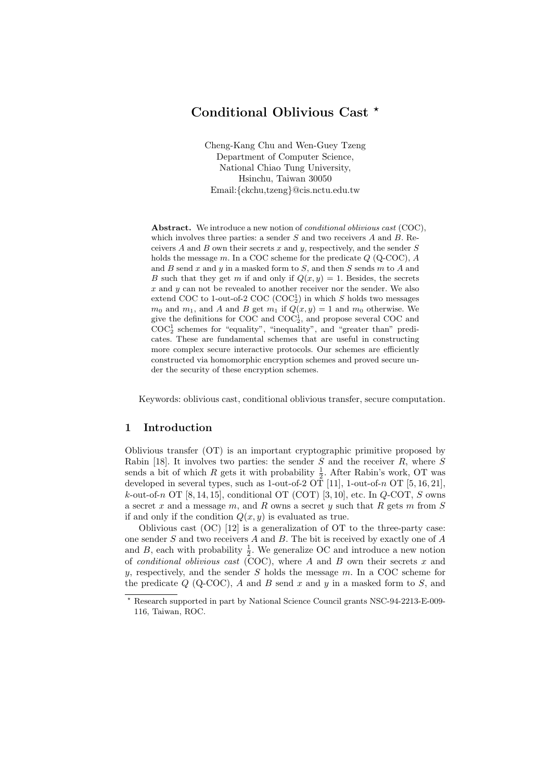# Conditional Oblivious Cast \*

Cheng-Kang Chu and Wen-Guey Tzeng Department of Computer Science, National Chiao Tung University, Hsinchu, Taiwan 30050 Email:{ckchu,tzeng}@cis.nctu.edu.tw

Abstract. We introduce a new notion of *conditional oblivious cast* (COC), which involves three parties: a sender  $S$  and two receivers  $A$  and  $B$ . Receivers  $A$  and  $B$  own their secrets  $x$  and  $y$ , respectively, and the sender  $S$ holds the message  $m$ . In a COC scheme for the predicate  $Q$  (Q-COC),  $A$ and  $B$  send  $x$  and  $y$  in a masked form to  $S$ , and then  $S$  sends  $m$  to  $A$  and B such that they get m if and only if  $Q(x, y) = 1$ . Besides, the secrets  $x$  and  $y$  can not be revealed to another receiver nor the sender. We also extend COC to 1-out-of-2 COC  $(COC_2^1)$  in which S holds two messages  $m_0$  and  $m_1$ , and A and B get  $m_1$  if  $Q(x, y) = 1$  and  $m_0$  otherwise. We give the definitions for COC and  $\text{COC}_2^1$ , and propose several COC and  $\mathrm{COC}_2^1$  schemes for "equality", "inequality", and "greater than" predicates. These are fundamental schemes that are useful in constructing more complex secure interactive protocols. Our schemes are efficiently constructed via homomorphic encryption schemes and proved secure under the security of these encryption schemes.

Keywords: oblivious cast, conditional oblivious transfer, secure computation.

### 1 Introduction

Oblivious transfer (OT) is an important cryptographic primitive proposed by Rabin [18]. It involves two parties: the sender S and the receiver R, where S sends a bit of which  $R$  gets it with probability  $\frac{1}{2}$ . After Rabin's work, OT was developed in several types, such as 1-out-of-2 OT [11], 1-out-of-n OT [5, 16, 21], k-out-of-n OT  $[8, 14, 15]$ , conditional OT  $(COT)$   $[3, 10]$ , etc. In  $Q$ -COT, S owns a secret  $x$  and a message  $m$ , and  $R$  owns a secret  $y$  such that  $R$  gets  $m$  from  $S$ if and only if the condition  $Q(x, y)$  is evaluated as true.

Oblivious cast (OC) [12] is a generalization of OT to the three-party case: one sender S and two receivers A and B. The bit is received by exactly one of A and B, each with probability  $\frac{1}{2}$ . We generalize OC and introduce a new notion of *conditional oblivious cast* (COC), where A and B own their secrets x and y, respectively, and the sender  $S$  holds the message  $m$ . In a COC scheme for the predicate  $Q$  (Q-COC), A and B send x and y in a masked form to S, and

<sup>?</sup> Research supported in part by National Science Council grants NSC-94-2213-E-009- 116, Taiwan, ROC.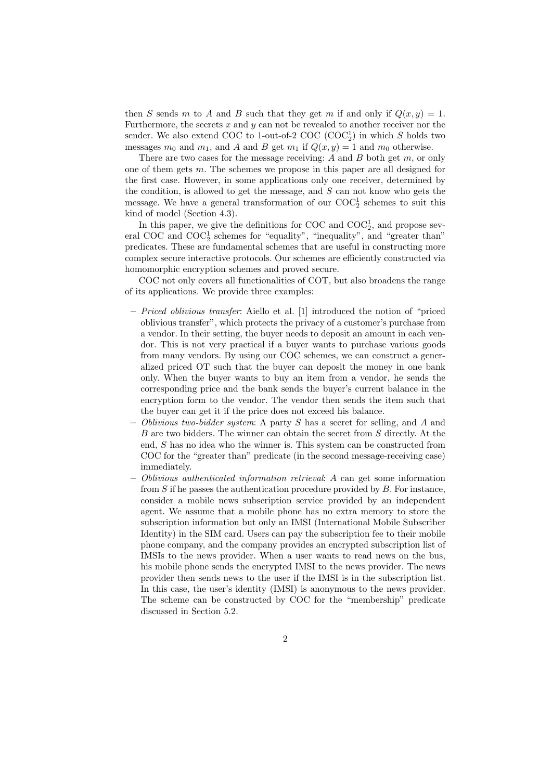then S sends m to A and B such that they get m if and only if  $Q(x, y) = 1$ . Furthermore, the secrets  $x$  and  $y$  can not be revealed to another receiver nor the sender. We also extend COC to 1-out-of-2 COC  $(COC_2^1)$  in which S holds two messages  $m_0$  and  $m_1$ , and A and B get  $m_1$  if  $Q(x, y) = 1$  and  $m_0$  otherwise.

There are two cases for the message receiving: A and B both get  $m$ , or only one of them gets m. The schemes we propose in this paper are all designed for the first case. However, in some applications only one receiver, determined by the condition, is allowed to get the message, and  $S$  can not know who gets the message. We have a general transformation of our  $\mathrm{COC}_2^1$  schemes to suit this kind of model (Section 4.3).

In this paper, we give the definitions for COC and  $COC_2^1$ , and propose several COC and  $\mathrm{COC}_2^1$  schemes for "equality", "inequality", and "greater than" predicates. These are fundamental schemes that are useful in constructing more complex secure interactive protocols. Our schemes are efficiently constructed via homomorphic encryption schemes and proved secure.

COC not only covers all functionalities of COT, but also broadens the range of its applications. We provide three examples:

- Priced oblivious transfer: Aiello et al. [1] introduced the notion of "priced oblivious transfer", which protects the privacy of a customer's purchase from a vendor. In their setting, the buyer needs to deposit an amount in each vendor. This is not very practical if a buyer wants to purchase various goods from many vendors. By using our COC schemes, we can construct a generalized priced OT such that the buyer can deposit the money in one bank only. When the buyer wants to buy an item from a vendor, he sends the corresponding price and the bank sends the buyer's current balance in the encryption form to the vendor. The vendor then sends the item such that the buyer can get it if the price does not exceed his balance.
- Oblivious two-bidder system: A party S has a secret for selling, and A and B are two bidders. The winner can obtain the secret from S directly. At the end, S has no idea who the winner is. This system can be constructed from COC for the "greater than" predicate (in the second message-receiving case) immediately.
- Oblivious authenticated information retrieval: A can get some information from  $S$  if he passes the authentication procedure provided by  $B$ . For instance, consider a mobile news subscription service provided by an independent agent. We assume that a mobile phone has no extra memory to store the subscription information but only an IMSI (International Mobile Subscriber Identity) in the SIM card. Users can pay the subscription fee to their mobile phone company, and the company provides an encrypted subscription list of IMSIs to the news provider. When a user wants to read news on the bus, his mobile phone sends the encrypted IMSI to the news provider. The news provider then sends news to the user if the IMSI is in the subscription list. In this case, the user's identity (IMSI) is anonymous to the news provider. The scheme can be constructed by COC for the "membership" predicate discussed in Section 5.2.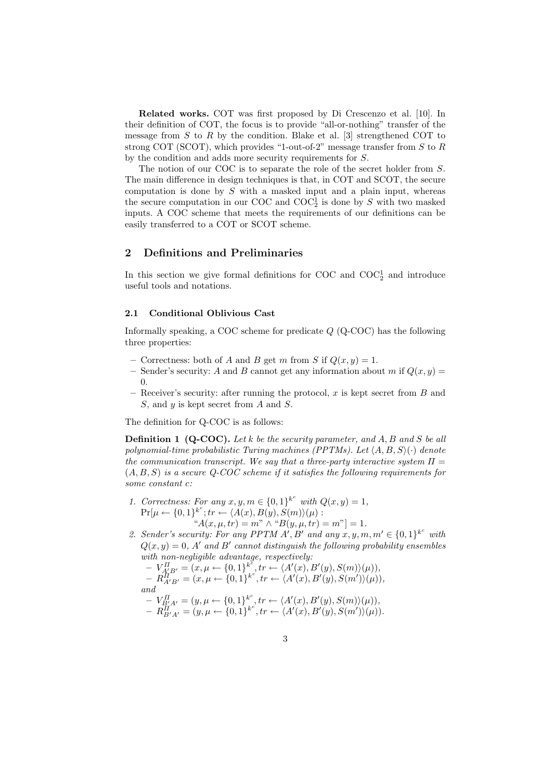Related works. COT was first proposed by Di Crescenzo et al. [10]. In their definition of COT, the focus is to provide "all-or-nothing" transfer of the message from  $S$  to  $R$  by the condition. Blake et al. [3] strengthened COT to strong COT (SCOT), which provides "1-out-of-2" message transfer from  $S$  to  $R$ by the condition and adds more security requirements for S.

The notion of our COC is to separate the role of the secret holder from S. The main difference in design techniques is that, in COT and SCOT, the secure computation is done by  $S$  with a masked input and a plain input, whereas the secure computation in our COC and  $\mathrm{COC}_2^1$  is done by S with two masked inputs. A COC scheme that meets the requirements of our definitions can be easily transferred to a COT or SCOT scheme.

## 2 Definitions and Preliminaries

In this section we give formal definitions for COC and  $COC_2^1$  and introduce useful tools and notations.

#### 2.1 Conditional Oblivious Cast

Informally speaking, a COC scheme for predicate Q (Q-COC) has the following three properties:

- Correctness: both of A and B get m from S if  $Q(x, y) = 1$ .
- Sender's security: A and B cannot get any information about m if  $Q(x, y)$  =  $\Omega$ .
- Receiver's security: after running the protocol,  $x$  is kept secret from  $B$  and  $S$ , and  $y$  is kept secret from  $A$  and  $S$ .

The definition for Q-COC is as follows:

**Definition 1 (Q-COC).** Let k be the security parameter, and A, B and S be all polynomial-time probabilistic Turing machines (PPTMs). Let  $\langle A, B, S \rangle$  ( $\cdot$ ) denote the communication transcript. We say that a three-party interactive system  $\Pi =$  $(A, B, S)$  is a secure Q-COC scheme if it satisfies the following requirements for some constant c:

- 1. Correctness: For any  $x, y, m \in \{0, 1\}^{k^c}$  with  $Q(x, y) = 1$ ,  $\Pr[\mu \leftarrow \{0,1\}^{k^c}; tr \leftarrow \langle A(x), B(y), S(m) \rangle (\mu):$  $A(x, \mu, tr) = m'' \wedge {}^{(4)}B(y, \mu, tr) = m'' = 1.$
- 2. Sender's security: For any PPTM  $A', B'$  and any  $x, y, m, m' \in \{0, 1\}^{k^c}$  with  $Q(x, y) = 0$ , A' and B' cannot distinguish the following probability ensembles with non-negligible advantage, respectively:

 $-V_{A\_\text{L}B'}^H = (x, \mu \leftarrow \{0, 1\}^{k^2}, tr \leftarrow \langle A'(x), B'(y), S(m) \rangle (\mu)),$  $-R_{A'B'}^{II} = (x, \mu \leftarrow \{0, 1\}^{k^c}, tr \leftarrow \langle A'(x), B'(y), S(m') \rangle (\mu)),$ and  $-V_{B'_2A'}^{\Pi} = (y, \mu \leftarrow \{0, 1\}_{\ldots}^{k^c}, tr \leftarrow \langle A'(x), B'(y), S(m) \rangle (\mu)),$ 

$$
- R_{B'A'}^{II'} = (y, \mu \leftarrow \{0, 1\}^{k^c}, \text{tr} \leftarrow \langle A'(x), B'(y), S(m') \rangle (\mu)).
$$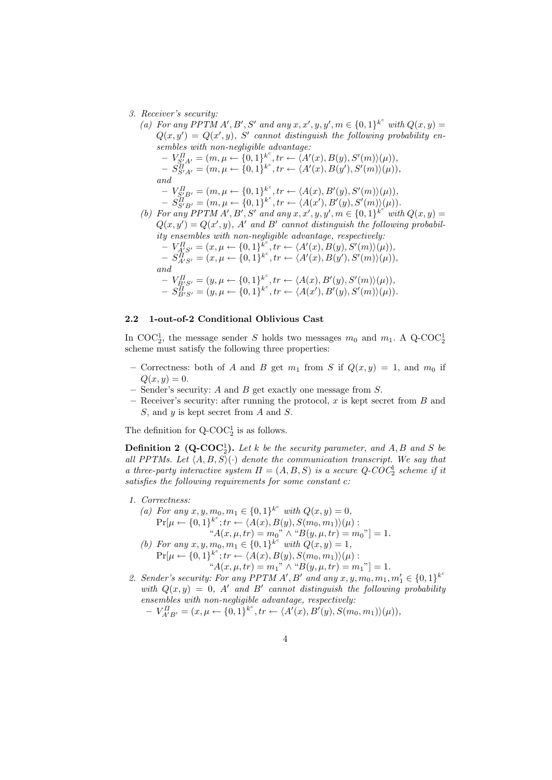3. Receiver's security:

(a) For any PPTM A', B', S' and any  $x, x', y, y', m \in \{0,1\}^{k^c}$  with  $Q(x, y) =$  $Q(x, y') = Q(x', y)$ , S' cannot distinguish the following probability ensembles with non-negligible advantage:  $-V_{S'_+A'}^{\Pi} = (m,\mu \leftarrow \{0,1\}_{\ldots}^{k^c}, \text{tr} \leftarrow \langle A'(x),B(y),S'(m)\rangle(\mu)),$  $-S_{S^{\prime}A^{\prime}}^{\tilde{H}^{\prime}}=(m,\mu\leftarrow\{0,1\}^{k^{c}},tr\leftarrow\langle A^{\prime}(x),B(y^{\prime}),S^{\prime}(m)\rangle(\mu)),$ and  $-V_{S'_{\!\perp}B'}^{\Pi} = (m, \mu \leftarrow \{0,1\}_{\!\sim}^{k^c}, \text{tr} \leftarrow \langle A(x), B'(y), S'(m) \rangle (\mu)),$  $- \,\, S^{II}_{S'B'} = (m, \mu \leftarrow \{0, 1\}^{k^c}, tr \leftarrow \langle A(x'), B'(y), S'(m) \rangle (\mu)).$ (b) For any PPTM A', B', S' and any  $x, x', y, y', m \in \{0,1\}^{k^c}$  with  $Q(x, y) =$  $Q(x, y') = Q(x', y)$ , A' and B' cannot distinguish the following probability ensembles with non-negligible advantage, respectively:  $-V_{A\hspace{-0.8pt}\bar{\;\raisebox{1.7pt}{}} S'}^{II}=(x,\mu\leftarrow\{0,1\}_{\text{\tiny L},\text{\tiny S}}^{k^c},\text{\small tr}\leftarrow \langle A'(x),B(y),S'(m)\rangle(\mu)),$  $-S_{A'S'}^{\overline{H}} = (x, \mu \leftarrow \{0, 1\}^{k^c}, tr \leftarrow \langle A'(x), B(y'), S'(m) \rangle (\mu)),$ 

and

$$
-V_{B'S'}^{\Pi} = (y, \mu \leftarrow \{0,1\}^{k^c}, tr \leftarrow \langle A(x), B'(y), S'(m) \rangle(\mu)),
$$
  

$$
-S_{B'S'}^{\Pi} = (y, \mu \leftarrow \{0,1\}^{k^c}, tr \leftarrow \langle A(x'), B'(y), S'(m) \rangle(\mu)).
$$

#### 2.2 1-out-of-2 Conditional Oblivious Cast

In COC<sup>1</sup><sub>2</sub>, the message sender S holds two messages  $m_0$  and  $m_1$ . A Q-COC<sup>1</sup><sub>2</sub> scheme must satisfy the following three properties:

- Correctness: both of A and B get  $m_1$  from S if  $Q(x, y) = 1$ , and  $m_0$  if  $Q(x, y) = 0.$
- Sender's security:  $A$  and  $B$  get exactly one message from  $S$ .
- Receiver's security: after running the protocol,  $x$  is kept secret from  $B$  and S, and y is kept secret from A and S.

The definition for  $Q$ -COC<sup>1</sup><sub>2</sub> is as follows.

**Definition 2** (Q-COC<sub>2</sub>). Let k be the security parameter, and A, B and S be all PPTMs. Let  $\langle A, B, S \rangle$  denote the communication transcript. We say that a three-party interactive system  $\Pi = (A, B, S)$  is a secure  $Q$ -COC<sup>1</sup> scheme if it satisfies the following requirements for some constant c:

- 1. Correctness:
	- (a) For any  $x, y, m_0, m_1 \in \{0, 1\}^{k^c}$  with  $Q(x, y) = 0$ ,  $\Pr[\mu \leftarrow \{0, 1\}^{k^c}; tr \leftarrow \langle A(x), B(y), S(m_0, m_1) \rangle (\mu):$ " $A(x, \mu, tr) = m_0" \wedge "B(y, \mu, tr) = m_0"$ ] = 1. (b) For any  $x, y, m_0, m_1 \in \{0, 1\}^{k^c}$  with  $Q(x, y) = 1$ ,  $\Pr[\mu \leftarrow \{0, 1\}^{k^c}; tr \leftarrow \langle A(x), B(y), S(m_0, m_1) \rangle (\mu):$

$$
``A(x,\mu,tr) = m_1" \wedge "B(y,\mu,tr) = m_1" ] = 1.
$$

2. Sender's security: For any PPTM A', B' and any  $x, y, m_0, m_1, m'_1 \in \{0, 1\}^{k^c}$ with  $Q(x, y) = 0$ , A' and B' cannot distinguish the following probability ensembles with non-negligible advantage, respectively:  $-V_{A'B'}^{\Pi} = (x, \mu \leftarrow \{0, 1\}^{k^c}, tr \leftarrow \langle A'(x), B'(y), S(m_0, m_1) \rangle (\mu)),$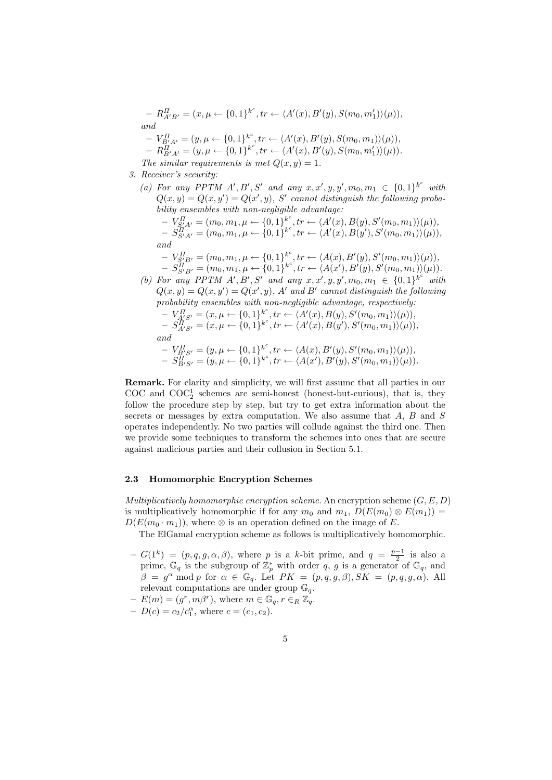$-R_{A'B'}^{\Pi} = (x, \mu \leftarrow \{0, 1\}^{k^c}, \text{tr} \leftarrow \langle A'(x), B'(y), S(m_0, m_1') \rangle (\mu)),$ and  $-V_{B'A'}^{II} = (y, \mu \leftarrow \{0, 1\}_{-}^{k^c}, tr \leftarrow \langle A'(x), B'(y), S(m_0, m_1) \rangle (\mu)),$  $-R_{B'A'}^{II} = (y, \mu \leftarrow \{0, 1\}^{k^c}, \text{tr} \leftarrow \langle A'(x), B'(y), S(m_0, m_1') \rangle (\mu)).$ The similar requirements is met  $Q(x, y) = 1$ .

- 3. Receiver's security:
	- (a) For any PPTM A', B', S' and any  $x, x', y, y', m_0, m_1 \in \{0, 1\}^{k^c}$  with  $Q(x, y) = Q(x, y') = Q(x', y)$ , S' cannot distinguish the following probability ensembles with non-negligible advantage:  $-V_{S'_+A'}^{\Pi} = (m_0, m_1, \mu \leftarrow \{0,1\}_{\dots}^{k^c}, \text{tr} \leftarrow \langle A'(x), B(y), S'(m_0, m_1) \rangle (\mu)),$ c

$$
- S_{S'A'}^{\Pi} = (m_0, m_1, \mu \leftarrow \{0, 1\}^{k^c}, \text{tr} \leftarrow \langle A'(x), B(y'), S'(m_0, m_1) \rangle (\mu)),
$$
  
and

- $-V_{S'_2B'}^{\Pi} = (m_0, m_1, \mu \leftarrow \{0,1\}_{\dots}^{k^c}, \text{tr} \leftarrow \langle A(x), B'(y), S'(m_0, m_1) \rangle (\mu)),$  $-S^{III}_{S'B'}=(m_0,m_1,\mu\leftarrow\{0,1\}^{k^c},tr\leftarrow\langle A(x'),B'(y),S'(m_0,m_1)\rangle(\mu)).$
- (b) For any PPTM A', B', S' and any  $x, x', y, y', m_0, m_1 \in \{0, 1\}^{k^c}$  with
- $Q(x, y) = Q(x, y') = Q(x', y)$ , A' and B' cannot distinguish the following probability ensembles with non-negligible advantage, respectively:  $-V_{A\& S'}^{II} = (x, \mu \leftarrow \{0, 1\}_{\ldots}^{k^c}, \text{tr} \leftarrow \langle A'(x), B(y), S'(m_0, m_1) \rangle (\mu)),$  $-S_{A'S'}^{\overleftrightarrow{H}} = (x, \mu \leftarrow \{0, 1\}^{k^c}, tr \leftarrow \langle A'(x), B(y'), S'(m_0, m_1) \rangle (\mu)),$ and  $-V_{\underline{B}'S'}^{II} = (y, \mu \leftarrow \{0,1\}_{\ldots}^{k^c}, \text{tr} \leftarrow \langle A(x), B'(y), S'(m_0, m_1) \rangle (\mu)),$ 
	- $-S_{B'S'}^{\tilde{H}} = (y, \mu \leftarrow \{0, 1\}^{k^c}, tr \leftarrow \langle A(x'), B'(y), S'(m_0, m_1) \rangle (\mu)).$

Remark. For clarity and simplicity, we will first assume that all parties in our COC and  $COC_2^1$  schemes are semi-honest (honest-but-curious), that is, they follow the procedure step by step, but try to get extra information about the secrets or messages by extra computation. We also assume that  $A, B$  and  $S$ operates independently. No two parties will collude against the third one. Then we provide some techniques to transform the schemes into ones that are secure against malicious parties and their collusion in Section 5.1.

#### 2.3 Homomorphic Encryption Schemes

Multiplicatively homomorphic encryption scheme. An encryption scheme  $(G, E, D)$ is multiplicatively homomorphic if for any  $m_0$  and  $m_1$ ,  $D(E(m_0) \otimes E(m_1)) =$  $D(E(m_0 \cdot m_1))$ , where ⊗ is an operation defined on the image of E.

The ElGamal encryption scheme as follows is multiplicatively homomorphic.

- $-G(1^k) = (p, q, g, \alpha, \beta)$ , where p is a k-bit prime, and  $q = \frac{p-1}{2}$  is also a prime,  $\mathbb{G}_q$  is the subgroup of  $\mathbb{Z}_p^*$  with order q, g is a generator of  $\mathbb{G}_q$ , and  $\beta = g^{\alpha} \mod p$  for  $\alpha \in \mathbb{G}_q$ . Let  $PK = (p, q, g, \beta), SK = (p, q, g, \alpha)$ . All relevant computations are under group  $\mathbb{G}_q$ .
- $-E(m)=(g^r, m\beta^r)$ , where  $m \in \mathbb{G}_q$ ,  $r \in_R \mathbb{Z}_q$ .
- $-D(c) = c_2/c_1^{\alpha}$ , where  $c = (c_1, c_2)$ .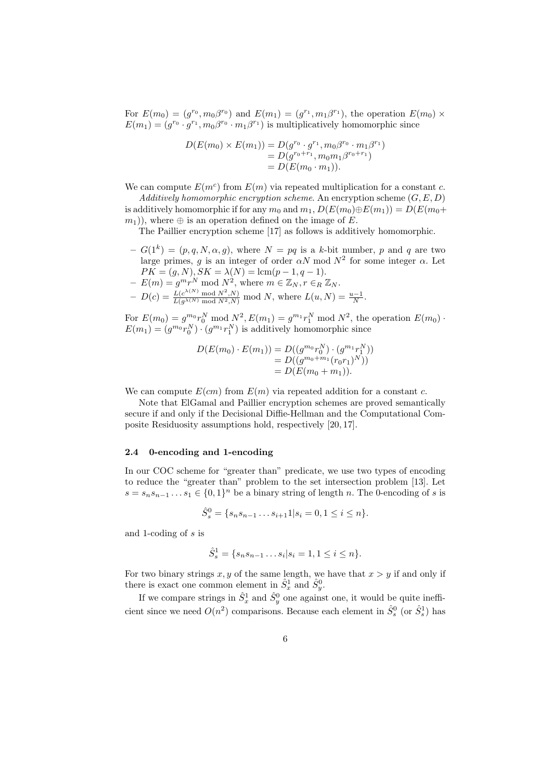For  $E(m_0) = (g^{r_0}, m_0 \beta^{r_0})$  and  $E(m_1) = (g^{r_1}, m_1 \beta^{r_1})$ , the operation  $E(m_0) \times$  $E(m_1) = (g^{r_0} \cdot g^{r_1}, m_0 \beta^{r_0} \cdot m_1 \beta^{r_1})$  is multiplicatively homomorphic since

$$
D(E(m_0) \times E(m_1)) = D(g^{r_0} \cdot g^{r_1}, m_0 \beta^{r_0} \cdot m_1 \beta^{r_1})
$$
  
= 
$$
D(g^{r_0+r_1}, m_0 m_1 \beta^{r_0+r_1})
$$
  
= 
$$
D(E(m_0 \cdot m_1)).
$$

We can compute  $E(m^c)$  from  $E(m)$  via repeated multiplication for a constant c.

Additively homomorphic encryption scheme. An encryption scheme  $(G, E, D)$ is additively homomorphic if for any  $m_0$  and  $m_1, D(E(m_0) \oplus E(m_1)) = D(E(m_0 +$  $(m_1)$ , where  $\oplus$  is an operation defined on the image of E.

The Paillier encryption scheme [17] as follows is additively homomorphic.

- $-G(1^k) = (p, q, N, \alpha, g)$ , where  $N = pq$  is a k-bit number, p and q are two large primes, g is an integer of order  $\alpha N$  mod  $N^2$  for some integer  $\alpha$ . Let  $PK = (g, N), SK = \lambda(N) = \text{lcm}(p - 1, q - 1).$
- $-E(m) = g^m r^N \text{ mod } N^2$ , where  $m \in \mathbb{Z}_N$ ,  $r \in_R \mathbb{Z}_N$ .  $-D(c) = \frac{L(c^{\lambda(N)} \mod N^2, N)}{L(g^{\lambda(N)} \mod N^2, N)} \mod N$ , where  $L(u, N) = \frac{u-1}{N}$ .

For  $E(m_0) = g^{m_0} r_0^N \text{ mod } N^2$ ,  $E(m_1) = g^{m_1} r_1^N \text{ mod } N^2$ , the operation  $E(m_0)$ .  $E(m_1) = (g^{m_0}r_0^N) \cdot (g^{m_1}r_1^N)$  is additively homomorphic since

$$
D(E(m_0) \cdot E(m_1)) = D((g^{m_0}r_0^N) \cdot (g^{m_1}r_1^N))
$$
  
= 
$$
D((g^{m_0+m_1}(r_0r_1)^N))
$$
  
= 
$$
D(E(m_0 + m_1)).
$$

We can compute  $E(cm)$  from  $E(m)$  via repeated addition for a constant c.

Note that ElGamal and Paillier encryption schemes are proved semantically secure if and only if the Decisional Diffie-Hellman and the Computational Composite Residuosity assumptions hold, respectively [20, 17].

#### 2.4 0-encoding and 1-encoding

In our COC scheme for "greater than" predicate, we use two types of encoding to reduce the "greater than" problem to the set intersection problem [13]. Let  $s = s_n s_{n-1} \dots s_1 \in \{0,1\}^n$  be a binary string of length n. The 0-encoding of s is

$$
\hat{S}_s^0 = \{s_n s_{n-1} \dots s_{i+1} 1 | s_i = 0, 1 \le i \le n\}.
$$

and 1-coding of s is

$$
\hat{S}_s^1 = \{s_n s_{n-1} \dots s_i | s_i = 1, 1 \le i \le n\}.
$$

For two binary strings x, y of the same length, we have that  $x > y$  if and only if there is exact one common element in  $\hat{S}_x^1$  and  $\hat{S}_y^0$ .

If we compare strings in  $\hat{S}_x^1$  and  $\hat{S}_y^0$  one against one, it would be quite inefficient since we need  $O(n^2)$  comparisons. Because each element in  $\hat{S}_s^0$  (or  $\hat{S}_s^1$ ) has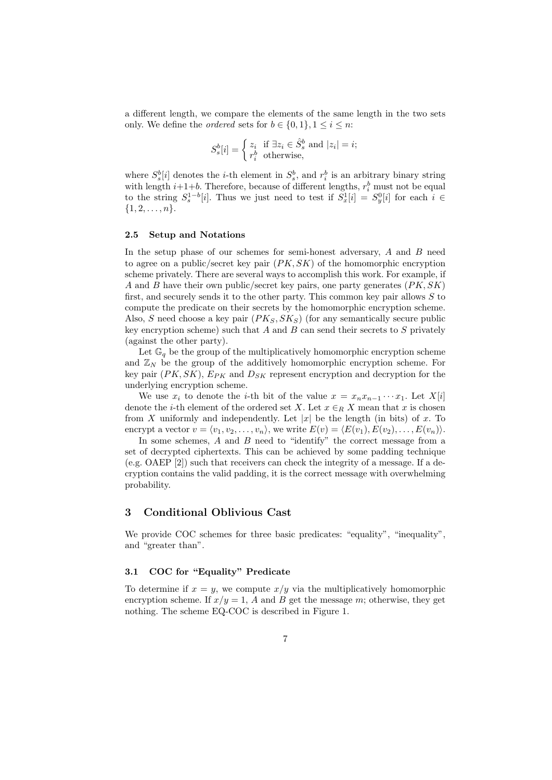a different length, we compare the elements of the same length in the two sets only. We define the *ordered* sets for  $b \in \{0,1\}, 1 \leq i \leq n$ :

$$
S_s^b[i] = \begin{cases} z_i & \text{if } \exists z_i \in \hat{S}_s^b \text{ and } |z_i| = i; \\ r_i^b & \text{otherwise,} \end{cases}
$$

where  $S_s^b[i]$  denotes the *i*-th element in  $S_s^b$ , and  $r_i^b$  is an arbitrary binary string with length  $i+1+b$ . Therefore, because of different lengths,  $r_i^b$  must not be equal to the string  $S_s^{1-b}[i]$ . Thus we just need to test if  $S_x^1[i] = S_y^0[i]$  for each  $i \in$  $\{1, 2, \ldots, n\}.$ 

#### 2.5 Setup and Notations

In the setup phase of our schemes for semi-honest adversary,  $A$  and  $B$  need to agree on a public/secret key pair  $(PK, SK)$  of the homomorphic encryption scheme privately. There are several ways to accomplish this work. For example, if A and B have their own public/secret key pairs, one party generates  $(PK, SK)$ first, and securely sends it to the other party. This common key pair allows  $S$  to compute the predicate on their secrets by the homomorphic encryption scheme. Also, S need choose a key pair  $(PK_S, SK_S)$  (for any semantically secure public key encryption scheme) such that  $A$  and  $B$  can send their secrets to  $S$  privately (against the other party).

Let  $\mathbb{G}_q$  be the group of the multiplicatively homomorphic encryption scheme and  $\mathbb{Z}_N$  be the group of the additively homomorphic encryption scheme. For key pair  $(PK, SK)$ ,  $E_{PK}$  and  $D_{SK}$  represent encryption and decryption for the underlying encryption scheme.

We use  $x_i$  to denote the *i*-th bit of the value  $x = x_n x_{n-1} \cdots x_1$ . Let  $X[i]$ denote the *i*-th element of the ordered set X. Let  $x \in_R X$  mean that x is chosen from X uniformly and independently. Let  $|x|$  be the length (in bits) of x. To encrypt a vector  $v = \langle v_1, v_2, \ldots, v_n \rangle$ , we write  $E(v) = \langle E(v_1), E(v_2), \ldots, E(v_n) \rangle$ .

In some schemes, A and B need to "identify" the correct message from a set of decrypted ciphertexts. This can be achieved by some padding technique (e.g. OAEP [2]) such that receivers can check the integrity of a message. If a decryption contains the valid padding, it is the correct message with overwhelming probability.

## 3 Conditional Oblivious Cast

We provide COC schemes for three basic predicates: "equality", "inequality", and "greater than".

#### 3.1 COC for "Equality" Predicate

To determine if  $x = y$ , we compute  $x/y$  via the multiplicatively homomorphic encryption scheme. If  $x/y = 1$ , A and B get the message m; otherwise, they get nothing. The scheme EQ-COC is described in Figure 1.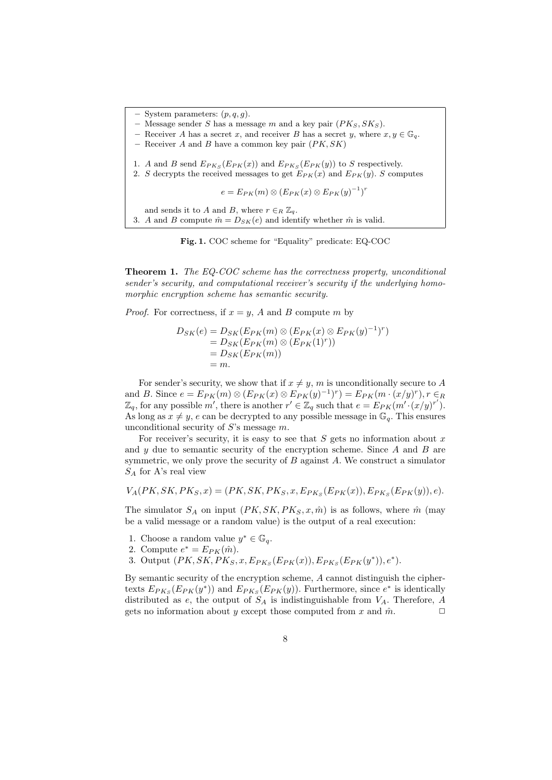System parameters:  $(p, q, g)$ . Message sender S has a message m and a key pair  $(PK_S, SK_S)$ . Receiver A has a secret x, and receiver B has a secret y, where  $x, y \in \mathbb{G}_q$ . Receiver A and B have a common key pair  $(PK, SK)$ 1. A and B send  $E_{PK_S}(E_{PK}(x))$  and  $E_{PK_S}(E_{PK}(y))$  to S respectively. 2. S decrypts the received messages to get  $E_{PK}(x)$  and  $E_{PK}(y)$ . S computes  $e = E_{PK}(m) \otimes (E_{PK}(x) \otimes E_{PK}(y)^{-1})^r$ and sends it to A and B, where  $r \in_R \mathbb{Z}_q$ . 3. A and B compute  $\hat{m} = D_{SK}(e)$  and identify whether  $\hat{m}$  is valid.

Fig. 1. COC scheme for "Equality" predicate: EQ-COC

Theorem 1. The EQ-COC scheme has the correctness property, unconditional sender's security, and computational receiver's security if the underlying homomorphic encryption scheme has semantic security.

*Proof.* For correctness, if  $x = y$ , A and B compute m by

$$
D_{SK}(e) = D_{SK}(E_{PK}(m) \otimes (E_{PK}(x) \otimes E_{PK}(y)^{-1})^r)
$$
  
= 
$$
D_{SK}(E_{PK}(m) \otimes (E_{PK}(1)^r))
$$
  
= 
$$
D_{SK}(E_{PK}(m))
$$
  
= m.

For sender's security, we show that if  $x \neq y$ , m is unconditionally secure to A and B. Since  $e = E_{PK}(m) \otimes (E_{PK}(x) \otimes E_{PK}(y)^{-1})^r = E_{PK}(m \cdot (x/y)^r), r \in_R$  $\mathbb{Z}_q$ , for any possible m', there is another  $r' \in \mathbb{Z}_q$  such that  $e = E_{PK}(m' \cdot (x/y)^{r'})$ . As long as  $x \neq y$ , e can be decrypted to any possible message in  $\mathbb{G}_q$ . This ensures unconditional security of  $S$ 's message  $m$ .

For receiver's security, it is easy to see that  $S$  gets no information about  $x$ and  $y$  due to semantic security of the encryption scheme. Since  $A$  and  $B$  are symmetric, we only prove the security of  $B$  against  $A$ . We construct a simulator  $S_A$  for A's real view

$$
V_A(PK, SK, PK_S, x) = (PK, SK, PK_S, x, E_{PK_S}(E_{PK}(x)), E_{PK_S}(E_{PK}(y)), e).
$$

The simulator  $S_A$  on input  $(PK, SK, PK_S, x, \hat{m})$  is as follows, where  $\hat{m}$  (may be a valid message or a random value) is the output of a real execution:

- 1. Choose a random value  $y^* \in \mathbb{G}_q$ .
- 2. Compute  $e^* = E_{PK}(\hat{m})$ .
- 3. Output  $(PK, SK, PK_S, x, E_{PK_S}(E_{PK}(x)), E_{PK_S}(E_{PK}(y^*)), e^*).$

By semantic security of the encryption scheme, A cannot distinguish the ciphertexts  $E_{PKs}(E_{PK}(y^*))$  and  $E_{PKs}(E_{PK}(y))$ . Furthermore, since  $e^*$  is identically distributed as e, the output of  $S_A$  is indistinguishable from  $V_A$ . Therefore, A gets no information about y except those computed from x and  $\hat{m}$ .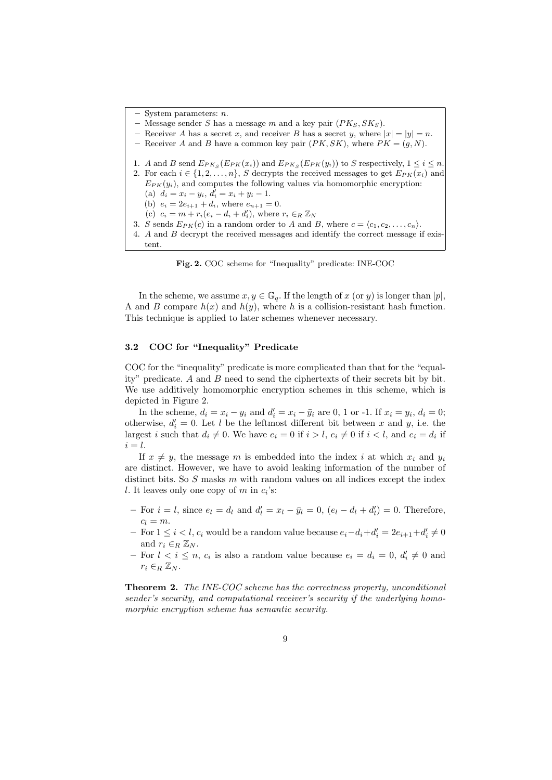System parameters:  $n$ .

Message sender S has a message m and a key pair  $(PK_S, SK_S)$ .

- Receiver A has a secret x, and receiver B has a secret y, where  $|x| = |y| = n$ .
- Receiver A and B have a common key pair  $(PK, SK)$ , where  $PK = (g, N)$ .
- 1. A and B send  $E_{PK_S}(E_{PK}(x_i))$  and  $E_{PK_S}(E_{PK}(y_i))$  to S respectively,  $1 \le i \le n$ . 2. For each  $i \in \{1, 2, \ldots, n\}$ , S decrypts the received messages to get  $E_{PK}(x_i)$  and  $E_{PK}(y_i)$ , and computes the following values via homomorphic encryption: (a)  $d_i = x_i - y_i, d'_i = x_i + y_i - 1.$ (b)  $e_i = 2e_{i+1} + d_i$ , where  $e_{n+1} = 0$ . (c)  $c_i = m + r_i(e_i - d_i + d'_i)$ , where  $r_i \in_R \mathbb{Z}_N$ 3. S sends  $E_{PK}(c)$  in a random order to A and B, where  $c = \langle c_1, c_2, \ldots, c_n \rangle$ .
- 
- 4. A and B decrypt the received messages and identify the correct message if existent.

Fig. 2. COC scheme for "Inequality" predicate: INE-COC

In the scheme, we assume  $x, y \in \mathbb{G}_q$ . If the length of x (or y) is longer than  $|p|$ , A and B compare  $h(x)$  and  $h(y)$ , where h is a collision-resistant hash function. This technique is applied to later schemes whenever necessary.

#### 3.2 COC for "Inequality" Predicate

COC for the "inequality" predicate is more complicated than that for the "equality" predicate. A and B need to send the ciphertexts of their secrets bit by bit. We use additively homomorphic encryption schemes in this scheme, which is depicted in Figure 2.

In the scheme,  $d_i = x_i - y_i$  and  $d'_i = x_i - \bar{y}_i$  are 0, 1 or -1. If  $x_i = y_i$ ,  $d_i = 0$ ; otherwise,  $d_i' = 0$ . Let l be the leftmost different bit between x and y, i.e. the largest *i* such that  $d_i \neq 0$ . We have  $e_i = 0$  if  $i > l$ ,  $e_i \neq 0$  if  $i < l$ , and  $e_i = d_i$  if  $i = l$ .

If  $x \neq y$ , the message m is embedded into the index i at which  $x_i$  and  $y_i$ are distinct. However, we have to avoid leaking information of the number of distinct bits. So  $S$  masks  $m$  with random values on all indices except the index l. It leaves only one copy of  $m$  in  $c_i$ 's:

- For  $i = l$ , since  $e_l = d_l$  and  $d'_l = x_l \bar{y}_l = 0$ ,  $(e_l d_l + d'_l) = 0$ . Therefore,  $c_l = m$ .
- For  $1 \leq i < l$ ,  $c_i$  would be a random value because  $e_i d_i + d'_i = 2e_{i+1} + d'_i \neq 0$ and  $r_i \in_R \mathbb{Z}_N$ .
- For  $l < i \leq n$ ,  $c_i$  is also a random value because  $e_i = d_i = 0$ ,  $d'_i \neq 0$  and  $r_i \in_R \mathbb{Z}_N$ .

Theorem 2. The INE-COC scheme has the correctness property, unconditional sender's security, and computational receiver's security if the underlying homomorphic encryption scheme has semantic security.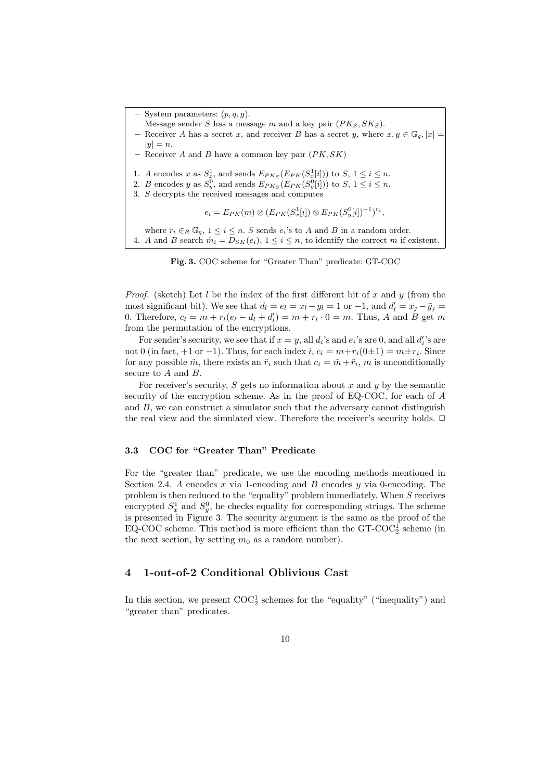System parameters:  $(p, q, g)$ . Message sender S has a message m and a key pair  $(PK_S, SK_S)$ . Receiver A has a secret x, and receiver B has a secret y, where  $x, y \in \mathbb{G}_q$ ,  $|x| =$  $|y| = n$ . Receiver  $A$  and  $B$  have a common key pair  $(PK, SK)$ 1. A encodes x as  $S_x^1$ , and sends  $E_{PK_S}(E_{PK}(S_x^1[i]))$  to  $S, 1 \le i \le n$ . 2. B encodes y as  $S_y^0$ , and sends  $E_{PKS}(E_{PK}(S_y^0[i]))$  to  $S, 1 \le i \le n$ . 3. S decrypts the received messages and computes  $e_i = E_{PK}(m) \otimes (E_{PK}(S_x^1[i]) \otimes E_{PK}(S_y^0[i])^{-1})^{r_i},$ where  $r_i \in_R \mathbb{G}_q$ ,  $1 \leq i \leq n$ . S sends  $e_i$ 's to A and B in a random order. 4. A and B search  $\hat{m}_i = D_{SK}(e_i), 1 \leq i \leq n$ , to identify the correct m if existent.

Fig. 3. COC scheme for "Greater Than" predicate: GT-COC

*Proof.* (sketch) Let l be the index of the first different bit of x and y (from the most significant bit). We see that  $d_l = e_l = x_l - y_l = 1$  or  $-1$ , and  $d'_l = x_j - \bar{y}_j =$ 0. Therefore,  $c_l = m + r_l(e_l - d_l + d'_l) = m + r_l \cdot 0 = m$ . Thus, A and B get m from the permutation of the encryptions.

For sender's security, we see that if  $x = y$ , all  $d_i$ 's and  $e_i$ 's are 0, and all  $d_i'$ 's are not 0 (in fact, +1 or -1). Thus, for each index  $i, c_i = m + r_i(0 \pm 1) = m \pm r_i$ . Since for any possible  $\tilde{m}$ , there exists an  $\tilde{r}_i$  such that  $c_i = \tilde{m} + \tilde{r}_i$ , m is unconditionally secure to A and B.

For receiver's security,  $S$  gets no information about  $x$  and  $y$  by the semantic security of the encryption scheme. As in the proof of EQ-COC, for each of A and  $B$ , we can construct a simulator such that the adversary cannot distinguish the real view and the simulated view. Therefore the receiver's security holds.  $\Box$ 

#### 3.3 COC for "Greater Than" Predicate

For the "greater than" predicate, we use the encoding methods mentioned in Section 2.4. A encodes  $x$  via 1-encoding and  $B$  encodes  $y$  via 0-encoding. The problem is then reduced to the "equality" problem immediately. When  $S$  receives encrypted  $S_x^1$  and  $S_y^0$ , he checks equality for corresponding strings. The scheme is presented in Figure 3. The security argument is the same as the proof of the EQ-COC scheme. This method is more efficient than the GT-COC<sup>1</sup> scheme (in the next section, by setting  $m_0$  as a random number).

## 4 1-out-of-2 Conditional Oblivious Cast

In this section, we present  $\mathrm{COC}_2^1$  schemes for the "equality" ("inequality") and "greater than" predicates.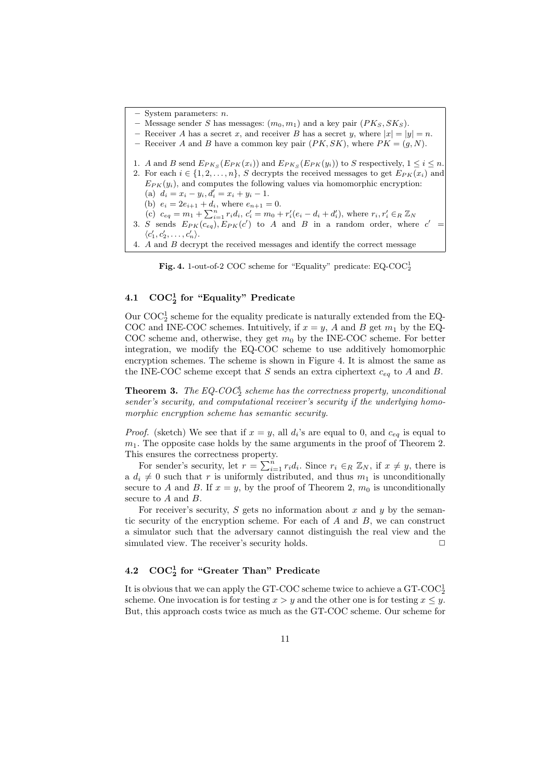System parameters:  $n$ . Message sender S has messages:  $(m_0, m_1)$  and a key pair  $(PK_S, SK_S)$ . – Receiver A has a secret x, and receiver B has a secret y, where  $|x| = |y| = n$ . – Receiver A and B have a common key pair  $(PK, SK)$ , where  $PK = (g, N)$ . 1. A and B send  $E_{PK_S}(E_{PK}(x_i))$  and  $E_{PK_S}(E_{PK}(y_i))$  to S respectively,  $1 \le i \le n$ . 2. For each  $i \in \{1, 2, \ldots, n\}$ , S decrypts the received messages to get  $E_{PK}(x_i)$  and  $E_{PK}(y_i)$ , and computes the following values via homomorphic encryption: (a)  $d_i = x_i - y_i, d'_i = x_i + y_i - 1.$ (b)  $e_i = 2e_{i+1} + d_i$ , where  $e_{n+1} = 0$ . (c)  $c_{eq} = m_1 + \sum_{i=1}^{n} r_i d_i$ ,  $c'_i = m_0 + r'_i (e_i - d_i + d'_i)$ , where  $r_i, r'_i \in_R \mathbb{Z}_N$ 3. S sends  $E_{PK}(c_{eq}), E_{PK}(c')$  to A and B in a random order, where  $c' =$  $\langle c'_1, c'_2, \ldots, c'_n \rangle$ . 4.  $A$  and  $B$  decrypt the received messages and identify the correct message



## 4.1  $COC_2^1$  for "Equality" Predicate

Our  $\mathrm{COC}_2^1$  scheme for the equality predicate is naturally extended from the EQ-COC and INE-COC schemes. Intuitively, if  $x = y$ , A and B get  $m_1$  by the EQ-COC scheme and, otherwise, they get  $m_0$  by the INE-COC scheme. For better integration, we modify the EQ-COC scheme to use additively homomorphic encryption schemes. The scheme is shown in Figure 4. It is almost the same as the INE-COC scheme except that S sends an extra ciphertext  $c_{eq}$  to A and B.

**Theorem 3.** The EQ-COC<sub>1</sub> scheme has the correctness property, unconditional sender's security, and computational receiver's security if the underlying homomorphic encryption scheme has semantic security.

*Proof.* (sketch) We see that if  $x = y$ , all  $d_i$ 's are equal to 0, and  $c_{eq}$  is equal to  $m_1$ . The opposite case holds by the same arguments in the proof of Theorem 2. This ensures the correctness property.

For sender's security, let  $r = \sum_{i=1}^{n} r_i d_i$ . Since  $r_i \in_R \mathbb{Z}_N$ , if  $x \neq y$ , there is a  $d_i \neq 0$  such that r is uniformly distributed, and thus  $m_1$  is unconditionally secure to A and B. If  $x = y$ , by the proof of Theorem 2,  $m_0$  is unconditionally secure to A and B.

For receiver's security, S gets no information about x and y by the semantic security of the encryption scheme. For each of  $A$  and  $B$ , we can construct a simulator such that the adversary cannot distinguish the real view and the simulated view. The receiver's security holds.  $\Box$ 

## $4.2 \quad \text{COC}_2^1 \text{ for "Greater Than" Predictate}$

It is obvious that we can apply the GT-COC scheme twice to achieve a  $\operatorname{GT-COC}_2^1$ scheme. One invocation is for testing  $x > y$  and the other one is for testing  $x \leq y$ . But, this approach costs twice as much as the GT-COC scheme. Our scheme for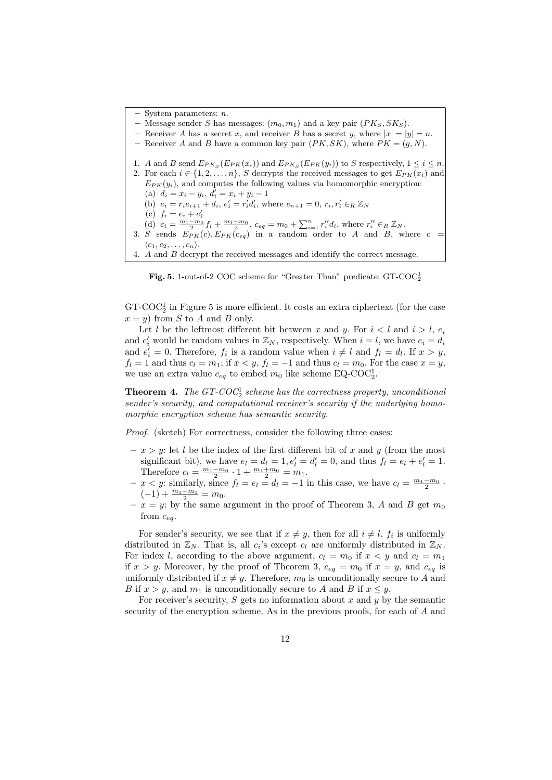System parameters:  $n$ .

- Message sender S has messages:  $(m_0, m_1)$  and a key pair  $(PK_S, SK_S)$ .
- Receiver A has a secret x, and receiver B has a secret y, where  $|x| = |y| = n$ .
- Receiver A and B have a common key pair  $(PK, SK)$ , where  $PK = (g, N)$ .
- 1. A and B send  $E_{PK_S}(E_{PK}(x_i))$  and  $E_{PK_S}(E_{PK}(y_i))$  to S respectively,  $1 \le i \le n$ .
- 2. For each  $i \in \{1, 2, \ldots, n\}$ , S decrypts the received messages to get  $E_{PK}(x_i)$  and  $E_{PK}(y_i)$ , and computes the following values via homomorphic encryption: (a)  $d_i = x_i - y_i, d'_i = x_i + y_i - 1$ 
	- (b)  $e_i = r_i e_{i+1} + d_i, e'_i = r'_i d'_i$ , where  $e_{n+1} = 0, r_i, r'_i \in_R \mathbb{Z}_N$
	-
	- (c)  $f_i = e_i + e'_i$ <br>
	(d)  $c_i = \frac{m_1 m_0}{2} f_i + \frac{m_1 + m_0}{2}$ ,  $c_{eq} = m_0 + \sum_{i=1}^n r''_i d_i$ , where  $r''_i \in_R \mathbb{Z}_N$ .
- 3. S sends  $E_{PK}(c)$ ,  $E_{PK}(c_{eq})$  in a random order to A and B, where  $c =$  $\langle c_1, c_2, \ldots, c_n \rangle$ .
- 4. A and B decrypt the received messages and identify the correct message.

Fig. 5. 1-out-of-2 COC scheme for "Greater Than" predicate:  $\text{GT-COC}_2^1$ 

GT-COC<sup>1</sup> in Figure 5 is more efficient. It costs an extra ciphertext (for the case  $x = y$  from S to A and B only.

Let l be the leftmost different bit between x and y. For  $i < l$  and  $i > l$ ,  $e_i$ and  $e'_i$  would be random values in  $\mathbb{Z}_N$ , respectively. When  $i = l$ , we have  $e_i = d_i$ and  $e'_i = 0$ . Therefore,  $f_i$  is a random value when  $i \neq l$  and  $f_l = d_l$ . If  $x > y$ ,  $f_l = 1$  and thus  $c_l = m_1$ ; if  $x < y$ ,  $f_l = -1$  and thus  $c_l = m_0$ . For the case  $x = y$ , we use an extra value  $c_{eq}$  to embed  $m_0$  like scheme EQ-COC<sup>1</sup><sub>2</sub>.

**Theorem 4.** The  $GT\text{-}COC_2^1$  scheme has the correctness property, unconditional sender's security, and computational receiver's security if the underlying homomorphic encryption scheme has semantic security.

Proof. (sketch) For correctness, consider the following three cases:

- $-x > y$ : let l be the index of the first different bit of x and y (from the most significant bit), we have  $e_l = d_l = 1, e'_l = d'_l = 0$ , and thus  $f_l = e_l + e'_l = 1$ . Therefore  $c_l = \frac{m_1 - m_0}{2} \cdot 1 + \frac{m_1 + m_0}{2} = m_1$ .
- $x < y$ : similarly, since  $f_l = e_l = d_l = -1$  in this case, we have  $c_l = \frac{m_1 m_0}{2}$ .  $(-1) + \frac{m_1 + m_0}{2} = m_0.$
- $x = y$ : by the same argument in the proof of Theorem 3, A and B get  $m_0$ from  $c_{eq}$ .

For sender's security, we see that if  $x \neq y$ , then for all  $i \neq l$ ,  $f_i$  is uniformly distributed in  $\mathbb{Z}_N$ . That is, all  $c_i$ 's except  $c_l$  are uniformly distributed in  $\mathbb{Z}_N$ . For index l, according to the above argument,  $c_l = m_0$  if  $x < y$  and  $c_l = m_1$ if  $x > y$ . Moreover, by the proof of Theorem 3,  $c_{eq} = m_0$  if  $x = y$ , and  $c_{eq}$  is uniformly distributed if  $x \neq y$ . Therefore,  $m_0$  is unconditionally secure to A and B if  $x > y$ , and  $m_1$  is unconditionally secure to A and B if  $x \leq y$ .

For receiver's security, S gets no information about  $x$  and  $y$  by the semantic security of the encryption scheme. As in the previous proofs, for each of  $A$  and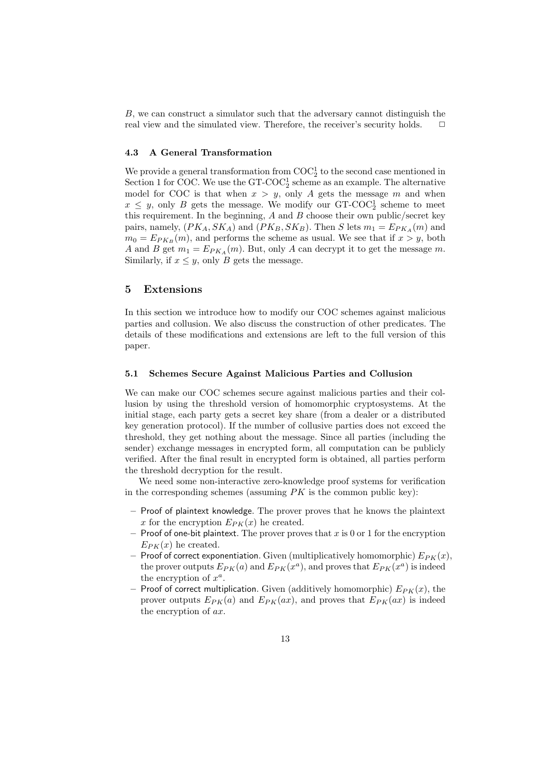B, we can construct a simulator such that the adversary cannot distinguish the real view and the simulated view. Therefore, the receiver's security holds.

#### 4.3 A General Transformation

We provide a general transformation from  $\mathrm{COC}_2^1$  to the second case mentioned in Section 1 for COC. We use the  $GT\text{-}COC_2^1$  scheme as an example. The alternative model for COC is that when  $x > y$ , only A gets the message m and when  $x \leq y$ , only B gets the message. We modify our GT-COC<sup>1</sup> scheme to meet this requirement. In the beginning,  $A$  and  $B$  choose their own public/secret key pairs, namely,  $(PK_A, SK_A)$  and  $(PK_B, SK_B)$ . Then S lets  $m_1 = E_{PK_A}(m)$  and  $m_0 = E_{PK_B}(m)$ , and performs the scheme as usual. We see that if  $x > y$ , both A and B get  $m_1 = E_{PK_A}(m)$ . But, only A can decrypt it to get the message m. Similarly, if  $x \leq y$ , only B gets the message.

#### 5 Extensions

In this section we introduce how to modify our COC schemes against malicious parties and collusion. We also discuss the construction of other predicates. The details of these modifications and extensions are left to the full version of this paper.

#### 5.1 Schemes Secure Against Malicious Parties and Collusion

We can make our COC schemes secure against malicious parties and their collusion by using the threshold version of homomorphic cryptosystems. At the initial stage, each party gets a secret key share (from a dealer or a distributed key generation protocol). If the number of collusive parties does not exceed the threshold, they get nothing about the message. Since all parties (including the sender) exchange messages in encrypted form, all computation can be publicly verified. After the final result in encrypted form is obtained, all parties perform the threshold decryption for the result.

We need some non-interactive zero-knowledge proof systems for verification in the corresponding schemes (assuming  $PK$  is the common public key):

- Proof of plaintext knowledge. The prover proves that he knows the plaintext x for the encryption  $E_{PK}(x)$  he created.
- Proof of one-bit plaintext. The prover proves that x is 0 or 1 for the encryption  $E_{PK}(x)$  he created.
- Proof of correct exponentiation. Given (multiplicatively homomorphic)  $E_{PK}(x)$ , the prover outputs  $E_{PK}(a)$  and  $E_{PK}(x^a)$ , and proves that  $E_{PK}(x^a)$  is indeed the encryption of  $x^a$ .
- Proof of correct multiplication. Given (additively homomorphic)  $E_{PK}(x)$ , the prover outputs  $E_{PK}(a)$  and  $E_{PK}(ax)$ , and proves that  $E_{PK}(ax)$  is indeed the encryption of ax.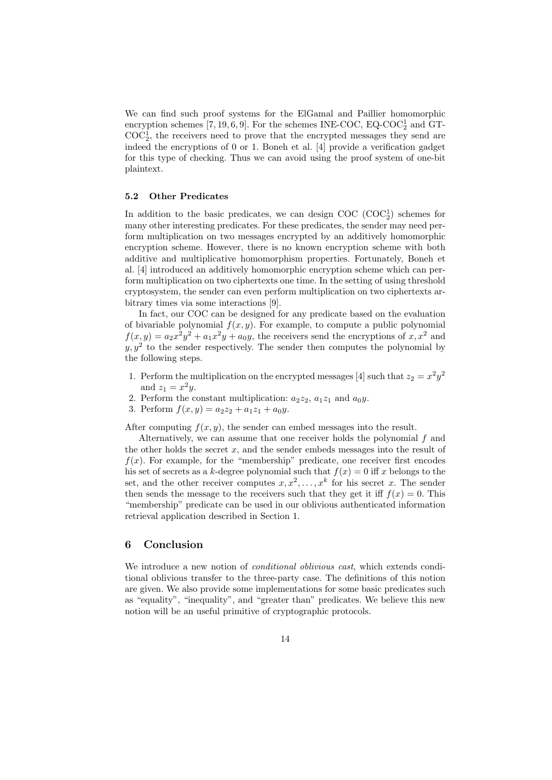We can find such proof systems for the ElGamal and Paillier homomorphic encryption schemes [7, 19, 6, 9]. For the schemes INE-COC, EQ-COC<sub>2</sub> and GT- $\mathrm{COC}_2^1$ , the receivers need to prove that the encrypted messages they send are indeed the encryptions of 0 or 1. Boneh et al. [4] provide a verification gadget for this type of checking. Thus we can avoid using the proof system of one-bit plaintext.

#### 5.2 Other Predicates

In addition to the basic predicates, we can design  $\rm COC$   $(\rm COC_2^1)$  schemes for many other interesting predicates. For these predicates, the sender may need perform multiplication on two messages encrypted by an additively homomorphic encryption scheme. However, there is no known encryption scheme with both additive and multiplicative homomorphism properties. Fortunately, Boneh et al. [4] introduced an additively homomorphic encryption scheme which can perform multiplication on two ciphertexts one time. In the setting of using threshold cryptosystem, the sender can even perform multiplication on two ciphertexts arbitrary times via some interactions [9].

In fact, our COC can be designed for any predicate based on the evaluation of bivariable polynomial  $f(x, y)$ . For example, to compute a public polynomial  $f(x,y) = a_2x^2y^2 + a_1x^2y + a_0y$ , the receivers send the encryptions of  $x, x^2$  and  $y, y^2$  to the sender respectively. The sender then computes the polynomial by the following steps.

- 1. Perform the multiplication on the encrypted messages [4] such that  $z_2 = x^2y^2$ and  $z_1 = x^2y$ .
- 2. Perform the constant multiplication:  $a_2z_2$ ,  $a_1z_1$  and  $a_0y$ .
- 3. Perform  $f(x, y) = a_2z_2 + a_1z_1 + a_0y$ .

After computing  $f(x, y)$ , the sender can embed messages into the result.

Alternatively, we can assume that one receiver holds the polynomial f and the other holds the secret  $x$ , and the sender embeds messages into the result of  $f(x)$ . For example, for the "membership" predicate, one receiver first encodes his set of secrets as a k-degree polynomial such that  $f(x) = 0$  iff x belongs to the set, and the other receiver computes  $x, x^2, \ldots, x^k$  for his secret x. The sender then sends the message to the receivers such that they get it iff  $f(x) = 0$ . This "membership" predicate can be used in our oblivious authenticated information retrieval application described in Section 1.

## 6 Conclusion

We introduce a new notion of *conditional oblivious cast*, which extends conditional oblivious transfer to the three-party case. The definitions of this notion are given. We also provide some implementations for some basic predicates such as "equality", "inequality", and "greater than" predicates. We believe this new notion will be an useful primitive of cryptographic protocols.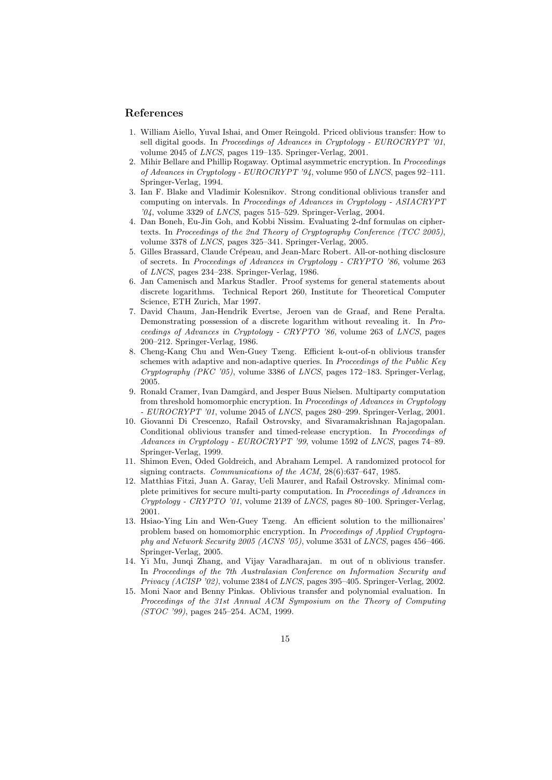#### References

- 1. William Aiello, Yuval Ishai, and Omer Reingold. Priced oblivious transfer: How to sell digital goods. In Proceedings of Advances in Cryptology - EUROCRYPT '01, volume 2045 of LNCS, pages 119–135. Springer-Verlag, 2001.
- 2. Mihir Bellare and Phillip Rogaway. Optimal asymmetric encryption. In Proceedings of Advances in Cryptology - EUROCRYPT '94, volume 950 of LNCS, pages 92–111. Springer-Verlag, 1994.
- 3. Ian F. Blake and Vladimir Kolesnikov. Strong conditional oblivious transfer and computing on intervals. In Proceedings of Advances in Cryptology - ASIACRYPT '04, volume 3329 of LNCS, pages 515–529. Springer-Verlag, 2004.
- 4. Dan Boneh, Eu-Jin Goh, and Kobbi Nissim. Evaluating 2-dnf formulas on ciphertexts. In Proceedings of the 2nd Theory of Cryptography Conference (TCC 2005), volume 3378 of LNCS, pages 325–341. Springer-Verlag, 2005.
- 5. Gilles Brassard, Claude Crépeau, and Jean-Marc Robert. All-or-nothing disclosure of secrets. In Proceedings of Advances in Cryptology - CRYPTO '86, volume 263 of LNCS, pages 234–238. Springer-Verlag, 1986.
- 6. Jan Camenisch and Markus Stadler. Proof systems for general statements about discrete logarithms. Technical Report 260, Institute for Theoretical Computer Science, ETH Zurich, Mar 1997.
- 7. David Chaum, Jan-Hendrik Evertse, Jeroen van de Graaf, and Rene Peralta. Demonstrating possession of a discrete logarithm without revealing it. In Proceedings of Advances in Cryptology - CRYPTO '86, volume 263 of LNCS, pages 200–212. Springer-Verlag, 1986.
- 8. Cheng-Kang Chu and Wen-Guey Tzeng. Efficient k-out-of-n oblivious transfer schemes with adaptive and non-adaptive queries. In *Proceedings of the Public Key* Cryptography (PKC '05), volume 3386 of LNCS, pages 172–183. Springer-Verlag, 2005.
- 9. Ronald Cramer, Ivan Damgård, and Jesper Buus Nielsen. Multiparty computation from threshold homomorphic encryption. In Proceedings of Advances in Cryptology - EUROCRYPT '01, volume 2045 of LNCS, pages 280-299. Springer-Verlag, 2001.
- 10. Giovanni Di Crescenzo, Rafail Ostrovsky, and Sivaramakrishnan Rajagopalan. Conditional oblivious transfer and timed-release encryption. In Proceedings of Advances in Cryptology - EUROCRYPT '99, volume 1592 of LNCS, pages 74–89. Springer-Verlag, 1999.
- 11. Shimon Even, Oded Goldreich, and Abraham Lempel. A randomized protocol for signing contracts. Communications of the ACM, 28(6):637–647, 1985.
- 12. Matthias Fitzi, Juan A. Garay, Ueli Maurer, and Rafail Ostrovsky. Minimal complete primitives for secure multi-party computation. In Proceedings of Advances in Cryptology - CRYPTO '01, volume 2139 of LNCS, pages 80–100. Springer-Verlag, 2001.
- 13. Hsiao-Ying Lin and Wen-Guey Tzeng. An efficient solution to the millionaires' problem based on homomorphic encryption. In Proceedings of Applied Cryptography and Network Security 2005 (ACNS '05), volume 3531 of LNCS, pages 456–466. Springer-Verlag, 2005.
- 14. Yi Mu, Junqi Zhang, and Vijay Varadharajan. m out of n oblivious transfer. In Proceedings of the 7th Australasian Conference on Information Security and Privacy (ACISP '02), volume 2384 of LNCS, pages 395–405. Springer-Verlag, 2002.
- 15. Moni Naor and Benny Pinkas. Oblivious transfer and polynomial evaluation. In Proceedings of the 31st Annual ACM Symposium on the Theory of Computing (STOC '99), pages 245–254. ACM, 1999.